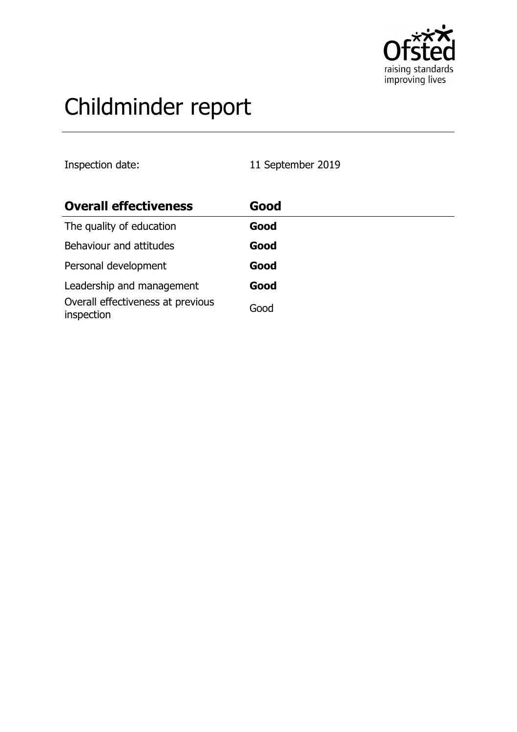

# Childminder report

Inspection date: 11 September 2019

| <b>Overall effectiveness</b>                    | Good |
|-------------------------------------------------|------|
| The quality of education                        | Good |
| Behaviour and attitudes                         | Good |
| Personal development                            | Good |
| Leadership and management                       | Good |
| Overall effectiveness at previous<br>inspection | Good |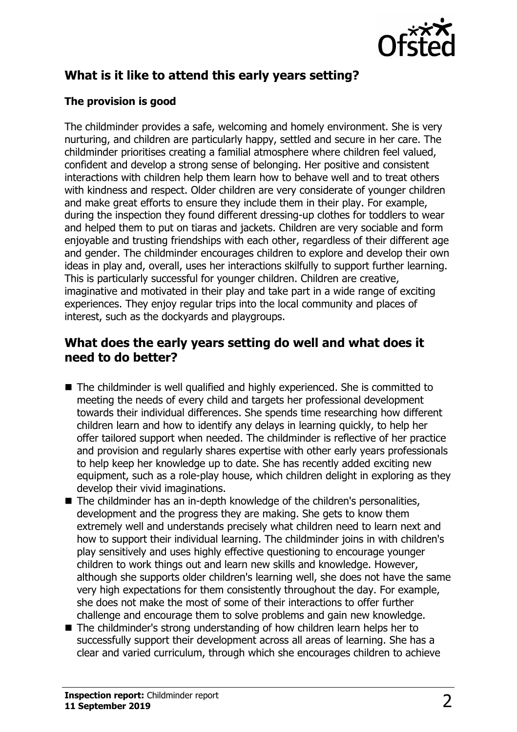

## **What is it like to attend this early years setting?**

### **The provision is good**

The childminder provides a safe, welcoming and homely environment. She is very nurturing, and children are particularly happy, settled and secure in her care. The childminder prioritises creating a familial atmosphere where children feel valued, confident and develop a strong sense of belonging. Her positive and consistent interactions with children help them learn how to behave well and to treat others with kindness and respect. Older children are very considerate of younger children and make great efforts to ensure they include them in their play. For example, during the inspection they found different dressing-up clothes for toddlers to wear and helped them to put on tiaras and jackets. Children are very sociable and form enjoyable and trusting friendships with each other, regardless of their different age and gender. The childminder encourages children to explore and develop their own ideas in play and, overall, uses her interactions skilfully to support further learning. This is particularly successful for younger children. Children are creative, imaginative and motivated in their play and take part in a wide range of exciting experiences. They enjoy regular trips into the local community and places of interest, such as the dockyards and playgroups.

## **What does the early years setting do well and what does it need to do better?**

- $\blacksquare$  The childminder is well qualified and highly experienced. She is committed to meeting the needs of every child and targets her professional development towards their individual differences. She spends time researching how different children learn and how to identify any delays in learning quickly, to help her offer tailored support when needed. The childminder is reflective of her practice and provision and regularly shares expertise with other early years professionals to help keep her knowledge up to date. She has recently added exciting new equipment, such as a role-play house, which children delight in exploring as they develop their vivid imaginations.
- $\blacksquare$  The childminder has an in-depth knowledge of the children's personalities, development and the progress they are making. She gets to know them extremely well and understands precisely what children need to learn next and how to support their individual learning. The childminder joins in with children's play sensitively and uses highly effective questioning to encourage younger children to work things out and learn new skills and knowledge. However, although she supports older children's learning well, she does not have the same very high expectations for them consistently throughout the day. For example, she does not make the most of some of their interactions to offer further challenge and encourage them to solve problems and gain new knowledge.
- $\blacksquare$  The childminder's strong understanding of how children learn helps her to successfully support their development across all areas of learning. She has a clear and varied curriculum, through which she encourages children to achieve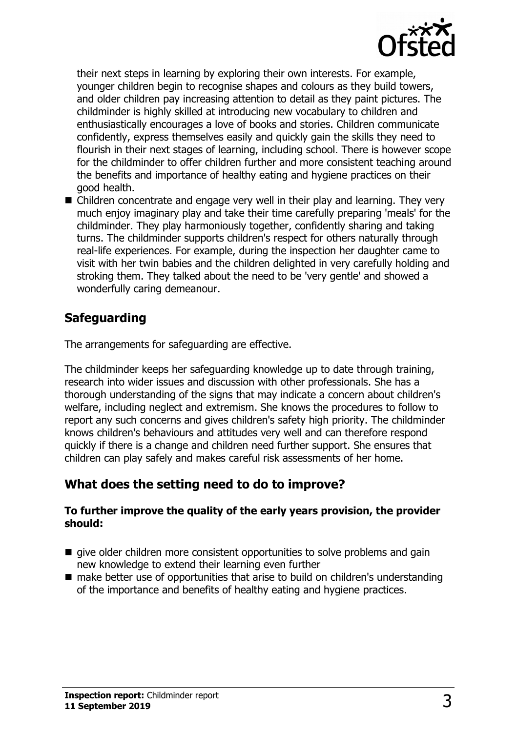

their next steps in learning by exploring their own interests. For example, younger children begin to recognise shapes and colours as they build towers, and older children pay increasing attention to detail as they paint pictures. The childminder is highly skilled at introducing new vocabulary to children and enthusiastically encourages a love of books and stories. Children communicate confidently, express themselves easily and quickly gain the skills they need to flourish in their next stages of learning, including school. There is however scope for the childminder to offer children further and more consistent teaching around the benefits and importance of healthy eating and hygiene practices on their good health.

 $\blacksquare$  Children concentrate and engage very well in their play and learning. They very much enjoy imaginary play and take their time carefully preparing 'meals' for the childminder. They play harmoniously together, confidently sharing and taking turns. The childminder supports children's respect for others naturally through real-life experiences. For example, during the inspection her daughter came to visit with her twin babies and the children delighted in very carefully holding and stroking them. They talked about the need to be 'very gentle' and showed a wonderfully caring demeanour.

## **Safeguarding**

The arrangements for safeguarding are effective.

The childminder keeps her safeguarding knowledge up to date through training, research into wider issues and discussion with other professionals. She has a thorough understanding of the signs that may indicate a concern about children's welfare, including neglect and extremism. She knows the procedures to follow to report any such concerns and gives children's safety high priority. The childminder knows children's behaviours and attitudes very well and can therefore respond quickly if there is a change and children need further support. She ensures that children can play safely and makes careful risk assessments of her home.

## **What does the setting need to do to improve?**

#### **To further improve the quality of the early years provision, the provider should:**

- $\blacksquare$  give older children more consistent opportunities to solve problems and gain new knowledge to extend their learning even further
- $\blacksquare$  make better use of opportunities that arise to build on children's understanding of the importance and benefits of healthy eating and hygiene practices.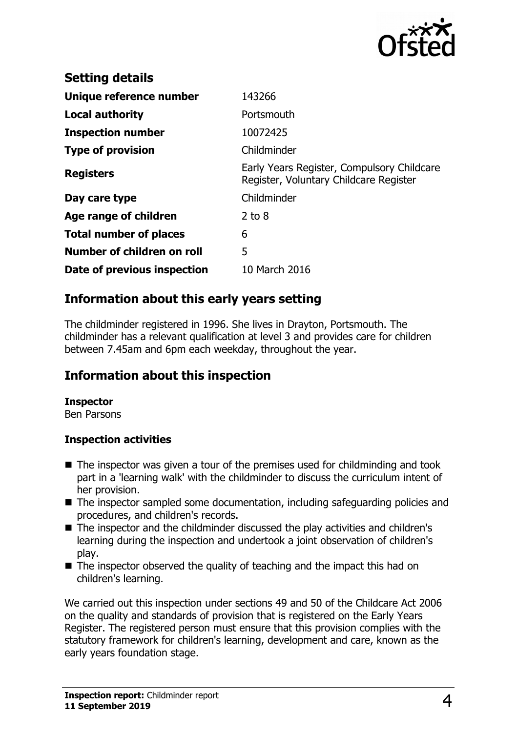

| <b>Setting details</b>        |                                                                                      |
|-------------------------------|--------------------------------------------------------------------------------------|
| Unique reference number       | 143266                                                                               |
| Local authority               | Portsmouth                                                                           |
| <b>Inspection number</b>      | 10072425                                                                             |
| <b>Type of provision</b>      | Childminder                                                                          |
| <b>Registers</b>              | Early Years Register, Compulsory Childcare<br>Register, Voluntary Childcare Register |
| Day care type                 | Childminder                                                                          |
| Age range of children         | $2$ to $8$                                                                           |
| <b>Total number of places</b> | 6                                                                                    |
| Number of children on roll    | 5                                                                                    |
| Date of previous inspection   | 10 March 2016                                                                        |

## **Information about this early years setting**

The childminder registered in 1996. She lives in Drayton, Portsmouth. The childminder has a relevant qualification at level 3 and provides care for children between 7.45am and 6pm each weekday, throughout the year.

## **Information about this inspection**

#### **Inspector**

Ben Parsons

#### **Inspection activities**

- $\blacksquare$  The inspector was given a tour of the premises used for childminding and took part in a 'learning walk' with the childminder to discuss the curriculum intent of her provision.
- $\blacksquare$  The inspector sampled some documentation, including safeguarding policies and procedures, and children's records.
- The inspector and the childminder discussed the play activities and children's learning during the inspection and undertook a joint observation of children's play.
- $\blacksquare$  The inspector observed the quality of teaching and the impact this had on children's learning.

We carried out this inspection under sections 49 and 50 of the Childcare Act 2006 on the quality and standards of provision that is registered on the Early Years Register. The registered person must ensure that this provision complies with the statutory framework for children's learning, development and care, known as the early years foundation stage.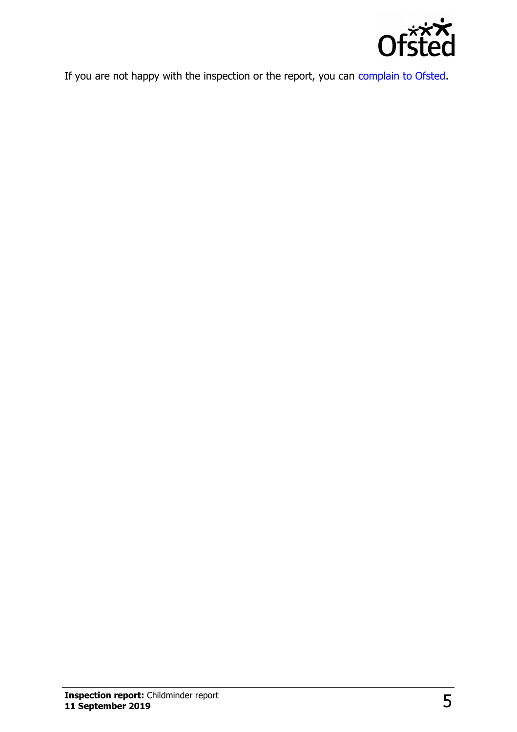

If you are not happy with the inspection or the report, you can [complain to Ofsted.](http://www.gov.uk/complain-ofsted-report)